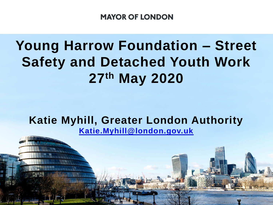# **Young Harrow Foundation – Street Safety and Detached Youth Work 27th May 2020**

# **Katie Myhill, Greater London Authority [Katie.Myhill@london.gov.uk](mailto:Katie.Myhill@london.gov.uk)**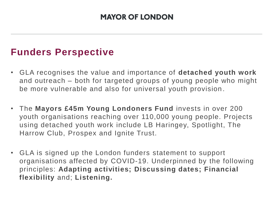## **Funders Perspective**

- GLA recognises the value and importance of **detached youth work**  and outreach – both for targeted groups of young people who might be more vulnerable and also for universal youth provision .
- The **Mayors £45m Young Londoners Fund** invests in over 200 youth organisations reaching over 110,000 young people. Projects using detached youth work include LB Haringey, Spotlight, The Harrow Club, Prospex and Ignite Trust.
- GLA is signed up the London funders statement to support organisations affected by COVID-19. Underpinned by the following principles: **Adapting activities; Discussing dates; Financial flexibility** and; **Listening.**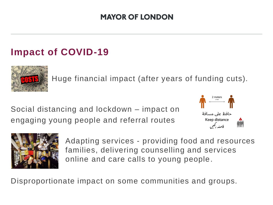# **Impact of COVID-19**



Huge financial impact (after years of funding cuts).

Social distancing and lockdown – impact on engaging young people and referral routes





Adapting services - providing food and resources families, delivering counselling and services online and care calls to young people.

Disproportionate impact on some communities and groups.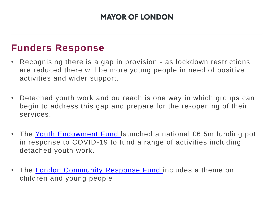## **Funders Response**

- Recognising there is a gap in provision as lockdown restrictions are reduced there will be more young people in need of positive activities and wider support.
- Detached youth work and outreach is one way in which groups can begin to address this gap and prepare for the re -opening of their services.
- The [Youth Endowment Fund l](https://youthendowmentfund.org.uk/grants-2/covid-19-round/)aunched a national £6.5m funding pot in response to COVID-19 to fund a range of activities including detached youth work.
- The [London Community Response Fund i](https://londoncommunityresponsefund.org.uk/)ncludes a theme on children and young people